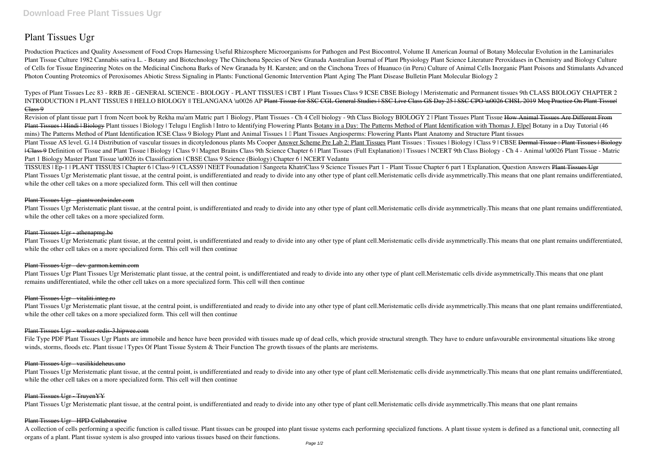# **Plant Tissues Ugr**

*Types of Plant Tissues Lec 83 - RRB JE - GENERAL SCIENCE - BIOLOGY - PLANT TISSUES | CBT 1 Plant Tissues Class 9 ICSE CBSE Biology | Meristematic and Permanent tissues* **9th CLASS BIOLOGY CHAPTER 2** INTRODUCTION || PLANT TISSUES || HELLO BIOLOGY || TELANGANA \u0026 AP Plant Tissue for SSC CGL General Studies | SSC Live Class GS Day 25 | SSC CPO \u0026 CHSL 2019 Meg Practice On Plant Tissuel Class<sub>9</sub>

Production Practices and Quality Assessment of Food Crops Harnessing Useful Rhizosphere Microorganisms for Pathogen and Pest Biocontrol, Volume II American Journal of Botany Molecular Evolution in the Laminariales Plant Tissue Culture 1982 Cannabis sativa L. - Botany and Biotechnology The Chinchona Species of New Granada Australian Journal of Plant Physiology Plant Science Literature Peroxidases in Chemistry and Biology Culture of Cells for Tissue Engineering Notes on the Medicinal Cinchona Barks of New Granada by H. Karsten; and on the Cinchona Trees of Huanuco (in Peru) Culture of Animal Cells Inorganic Plant Poisons and Stimulants Advanced Photon Counting Proteomics of Peroxisomes Abiotic Stress Signaling in Plants: Functional Genomic Intervention Plant Aging The Plant Disease Bulletin Plant Molecular Biology 2

Plant Tissues Ugr Meristematic plant tissue, at the central point, is undifferentiated and ready to divide into any other type of plant cell. Meristematic cells divide asymmetrically. This means that one plant remains undi while the other cell takes on a more specialized form.

### Plant Tissues Ugr athenapmg.be

Plant Tissues Ugr Meristematic plant tissue, at the central point, is undifferentiated and ready to divide into any other type of plant cell. Meristematic cells divide asymmetrically. This means that one plant remains undi while the other cell takes on a more specialized form. This cell will then continue

#### Plant Tissues Ugr dev garmon.kemin.com

Revision of plant tissue part 1 from Ncert book by Rekha ma'am Matric part 1 Biology, Plant Tissues - Ch 4 Cell biology - 9th Class Biology **BIOLOGY 2 | Plant Tissues** Plant Tissue How Animal Tissues Are Different From Plant Tissues | Hindi | Biology Plant tissues | Biology | Telugu | English | Intro to Identifying Flowering Plants Botany in a Day: The Patterns Method of Plant Identification with Thomas J. Elpel Botany in a Day Tutorial **mins) The Patterns Method of Plant Identification** ICSE Class 9 Biology Plant and Animal Tissues 1 – Plant Tissues *Angiosperms: Flowering Plants Plant Anatomy and Structure Plant tissues* Plant Tissue AS level. G.14 Distribution of vascular tissues in dicotyledonous plants Ms Cooper Answer Scheme Pre Lab 2: Plant Tissues Plant Tissues : Tissues | Biology | Class 9 | CBSE <del>Dermal Tissue : Plant Tissues | Bio</del> I Class 9 Definition of Tissue and Plant Tissue | Biology | Class 9 | Magnet Brains Class 9th Science Chapter 6 | Plant Tissues (Full Explanation) | Tissues | NCERT 9th Class Biology - Ch 4 - Animal \u0026 Plant Tissue - M **Part 1 Biology Master Plant Tissue \u0026 its Classification | CBSE Class 9 Science (Biology) Chapter 6 | NCERT Vedantu**

Plant Tissues Ugr Plant Tissues Ugr Meristematic plant tissue, at the central point, is undifferentiated and ready to divide into any other type of plant cell. Meristematic cells divide asymmetrically. This means that one remains undifferentiated, while the other cell takes on a more specialized form. This cell will then continue

Plant Tissues Ugr Meristematic plant tissue, at the central point, is undifferentiated and ready to divide into any other type of plant cell. Meristematic cells divide asymmetrically. This means that one plant remains undi while the other cell takes on a more specialized form. This cell will then continue

Plant Tissues Ugr Meristematic plant tissue, at the central point, is undifferentiated and ready to divide into any other type of plant cell. Meristematic cells divide asymmetrically. This means that one plant remains undi while the other cell takes on a more specialized form. This cell will then continue

# Plant Tissues Ugr TruyenYY

Plant Tissues Ugr Meristematic plant tissue, at the central point, is undifferentiated and ready to divide into any other type of plant cell.Meristematic cells divide asymmetrically.This means that one plant remains

TISSUES | Ep-1 | PLANT TISSUES | Chapter 6 | Class-9 | CLASS9 | NEET Founadation | Sangeeta Khatri**Class 9 Science Tissues Part 1 - Plant Tissue Chapter 6 part 1 Explanation, Question Answers** Plant Tissues Ugr Plant Tissues Ugr Meristematic plant tissue, at the central point, is undifferentiated and ready to divide into any other type of plant cell. Meristematic cells divide asymmetrically. This means that one plant remains undi while the other cell takes on a more specialized form. This cell will then continue

A collection of cells performing a specific function is called tissue. Plant tissues can be grouped into plant tissue systems each performing specialized functions. A plant tissue system is defined as a functional unit, co organs of a plant. Plant tissue system is also grouped into various tissues based on their functions.

## Plant Tissues Ugr - giantwordwinder.com

#### Plant Tissues Ugr - vitaliti.integ.ro

#### Plant Tissues Ugr - worker-redis-3.hipwee.com

File Type PDF Plant Tissues Ugr Plants are immobile and hence have been provided with tissues made up of dead cells, which provide structural strength. They have to endure unfavourable environmental situations like strong winds, storms, floods etc. Plant tissue | Types Of Plant Tissue System & Their Function The growth tissues of the plants are meristems.

#### Plant Tissues Ugr - vasilikideheus.uno

# Plant Tissues Ugr - HPD Collaborative